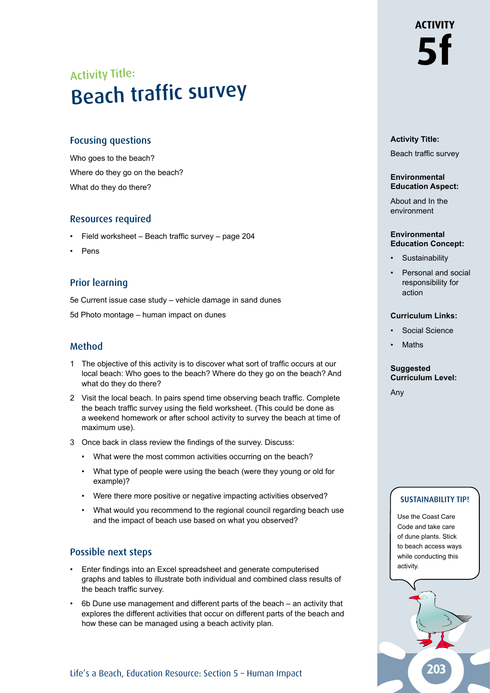# Activity Title: Beach traffic survey

## Focusing questions

Who goes to the beach? Where do they go on the beach? What do they do there?

## Resources required

- Field worksheet Beach traffic survey page 204
- Pens

# Prior learning

5e Current issue case study – vehicle damage in sand dunes 5d Photo montage – human impact on dunes

# Method

- 1 The objective of this activity is to discover what sort of traffic occurs at our local beach: Who goes to the beach? Where do they go on the beach? And what do they do there?
- 2 Visit the local beach. In pairs spend time observing beach traffic. Complete the beach traffic survey using the field worksheet. (This could be done as a weekend homework or after school activity to survey the beach at time of maximum use).
- 3 Once back in class review the findings of the survey. Discuss:
	- What were the most common activities occurring on the beach?
	- What type of people were using the beach (were they young or old for example)?
	- Were there more positive or negative impacting activities observed?
	- What would you recommend to the regional council regarding beach use and the impact of beach use based on what you observed?

## Possible next steps

- Enter findings into an Excel spreadsheet and generate computerised graphs and tables to illustrate both individual and combined class results of the beach traffic survey.
- 6b Dune use management and different parts of the beach an activity that explores the different activities that occur on different parts of the beach and how these can be managed using a beach activity plan.

## Life's a Beach, Education Resource: Section 5 - Human Impact

#### **Activity Title:**

Beach traffic survey

#### **Environmental Education Aspect:**

About and In the environment

#### **Environmental Education Concept:**

- **Sustainability**
- Personal and social responsibility for action

#### **Curriculum Links:**

- Social Science
- **Maths**

#### **Suggested Curriculum Level:**

Any

## SUSTAINABILITY TIP!

Use the Coast Care Code and take care of dune plants. Stick to beach access ways while conducting this activity.